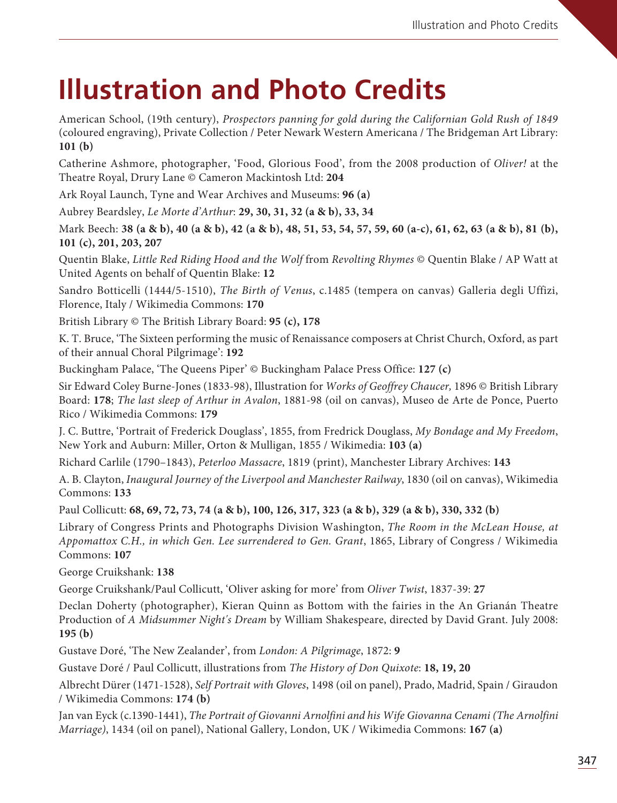## **Illustration and Photo Credits**

American School, (19th century), Prospectors panning for gold during the Californian Gold Rush of 1849 (coloured engraving), Private Collection / Peter Newark Western Americana / The Bridgeman Art Library: **101 (b)**

Catherine Ashmore, photographer, 'Food, Glorious Food', from the 2008 production of Oliver! at the Theatre Royal, Drury Lane © Cameron Mackintosh Ltd: **204**

Ark Royal Launch, Tyne and Wear Archives and Museums: **96 (a)**

Aubrey Beardsley, Le Morte d'Arthur: **29, 30, 31, 32 (a & b), 33, 34**

Mark Beech: **38 (a & b), 40 (a & b), 42 (a & b), 48, 51, 53, 54, 57, 59, 60 (a-c), 61, 62, 63 (a & b), 81 (b), 101 (c), 201, 203, 207**

Quentin Blake, Little Red Riding Hood and the Wolf from Revolting Rhymes © Quentin Blake / AP Watt at United Agents on behalf of Quentin Blake: **12**

Sandro Botticelli (1444/5-1510), The Birth of Venus, c.1485 (tempera on canvas) Galleria degli Uffizi, Florence, Italy / Wikimedia Commons: **170**

British Library © The British Library Board: **95 (c), 178**

K. T. Bruce, 'The Sixteen performing the music of Renaissance composers at Christ Church, Oxford, as part of their annual Choral Pilgrimage': **192**

Buckingham Palace, 'The Queens Piper' © Buckingham Palace Press Office: **127 (c)**

Sir Edward Coley Burne-Jones (1833-98), Illustration for Works of Geoffrey Chaucer, 1896 © British Library Board: **178**; The last sleep of Arthur in Avalon, 1881-98 (oil on canvas), Museo de Arte de Ponce, Puerto Rico / Wikimedia Commons: **179**

J. C. Buttre, 'Portrait of Frederick Douglass', 1855, from Fredrick Douglass, My Bondage and My Freedom, New York and Auburn: Miller, Orton & Mulligan, 1855 / Wikimedia: **103 (a)** 

Richard Carlile (1790–1843), Peterloo Massacre, 1819 (print), Manchester Library Archives: **143**

A. B. Clayton, Inaugural Journey of the Liverpool and Manchester Railway, 1830 (oil on canvas), Wikimedia Commons: **133**

Paul Collicutt: **68, 69, 72, 73, 74 (a & b), 100, 126, 317, 323 (a & b), 329 (a & b), 330, 332 (b)**

Library of Congress Prints and Photographs Division Washington, The Room in the McLean House, at Appomattox C.H., in which Gen. Lee surrendered to Gen. Grant, 1865, Library of Congress / Wikimedia Commons: **107**

George Cruikshank: **138**

George Cruikshank/Paul Collicutt, 'Oliver asking for more' from Oliver Twist, 1837-39: **27**

Declan Doherty (photographer), Kieran Quinn as Bottom with the fairies in the An Grianán Theatre Production of A Midsummer Night's Dream by William Shakespeare, directed by David Grant. July 2008: **195 (b)**

Gustave Doré, 'The New Zealander', from London: A Pilgrimage, 1872: **9**

Gustave Doré / Paul Collicutt, illustrations from The History of Don Quixote: **18, 19, 20**

Albrecht Dürer (1471-1528), Self Portrait with Gloves, 1498 (oil on panel), Prado, Madrid, Spain / Giraudon / Wikimedia Commons: **174 (b)**

Jan van Eyck (c.1390-1441), The Portrait of Giovanni Arnolfini and his Wife Giovanna Cenami (The Arnolfini Marriage), 1434 (oil on panel), National Gallery, London, UK / Wikimedia Commons: **167 (a)**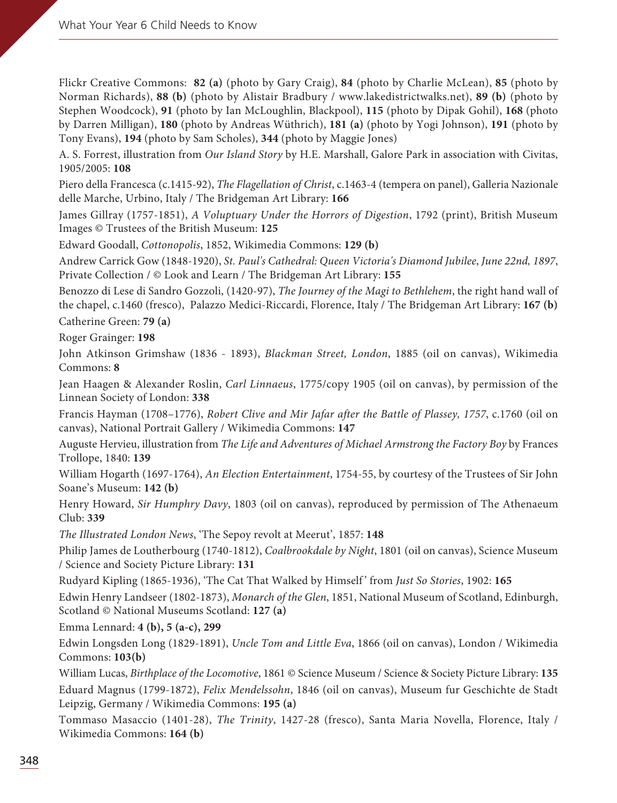Flickr Creative Commons: **82 (a)** (photo by Gary Craig), **84** (photo by Charlie McLean), **85** (photo by Norman Richards), **88 (b)** (photo by Alistair Bradbury / www.lakedistrictwalks.net), **89 (b)** (photo by Stephen Woodcock), **91** (photo by Ian McLoughlin, Blackpool), **115** (photo by Dipak Gohil), **168** (photo by Darren Milligan), **180** (photo by Andreas Wüthrich), **181 (a)** (photo by Yogi Johnson), **191** (photo by Tony Evans), **194** (photo by Sam Scholes), **344** (photo by Maggie Jones)

A. S. Forrest, illustration from Our Island Story by H.E. Marshall, Galore Park in association with Civitas, 1905/2005: **108**

Piero della Francesca (c.1415-92), The Flagellation of Christ, c.1463-4 (tempera on panel), Galleria Nazionale delle Marche, Urbino, Italy / The Bridgeman Art Library: **166**

James Gillray (1757-1851), A Voluptuary Under the Horrors of Digestion, 1792 (print), British Museum Images © Trustees of the British Museum: **125**

Edward Goodall, Cottonopolis, 1852, Wikimedia Commons: **129 (b)**

Andrew Carrick Gow (1848-1920), St. Paul's Cathedral: Queen Victoria's Diamond Jubilee, June 22nd, 1897, Private Collection / © Look and Learn / The Bridgeman Art Library: **155**

Benozzo di Lese di Sandro Gozzoli, (1420-97), The Journey of the Magi to Bethlehem, the right hand wall of the chapel, c.1460 (fresco), Palazzo Medici-Riccardi, Florence, Italy / The Bridgeman Art Library: **167 (b)** Catherine Green: **79 (a)**

Roger Grainger: **198**

John Atkinson Grimshaw (1836 - 1893), Blackman Street, London, 1885 (oil on canvas), Wikimedia Commons: **8**

Jean Haagen & Alexander Roslin, Carl Linnaeus, 1775/copy 1905 (oil on canvas), by permission of the Linnean Society of London: **338**

Francis Hayman (1708–1776), Robert Clive and Mir Jafar after the Battle of Plassey, 1757, c.1760 (oil on canvas), National Portrait Gallery / Wikimedia Commons: **147**

Auguste Hervieu, illustration from The Life and Adventures of Michael Armstrong the Factory Boy by Frances Trollope, 1840: **139**

William Hogarth (1697-1764), An Election Entertainment, 1754-55, by courtesy of the Trustees of Sir John Soane's Museum: **142 (b)**

Henry Howard, Sir Humphry Davy, 1803 (oil on canvas), reproduced by permission of The Athenaeum Club: **339**

The Illustrated London News, 'The Sepoy revolt at Meerut', 1857: **148**

Philip James de Loutherbourg (1740-1812), Coalbrookdale by Night, 1801 (oil on canvas), Science Museum / Science and Society Picture Library: **131**

Rudyard Kipling (1865-1936), 'The Cat That Walked by Himself ' from Just So Stories, 1902: **165**

Edwin Henry Landseer (1802-1873), Monarch of the Glen, 1851, National Museum of Scotland, Edinburgh, Scotland © National Museums Scotland: **127 (a)**

Emma Lennard: **4 (b), 5 (a-c), 299**

Edwin Longsden Long (1829-1891), Uncle Tom and Little Eva, 1866 (oil on canvas), London / Wikimedia Commons: **103(b)**

William Lucas, Birthplace of the Locomotive, 1861 © Science Museum / Science & Society Picture Library: **135** Eduard Magnus (1799-1872), Felix Mendelssohn, 1846 (oil on canvas), Museum fur Geschichte de Stadt Leipzig, Germany / Wikimedia Commons: **195 (a)**

Tommaso Masaccio (1401-28), The Trinity, 1427-28 (fresco), Santa Maria Novella, Florence, Italy / Wikimedia Commons: **164 (b)**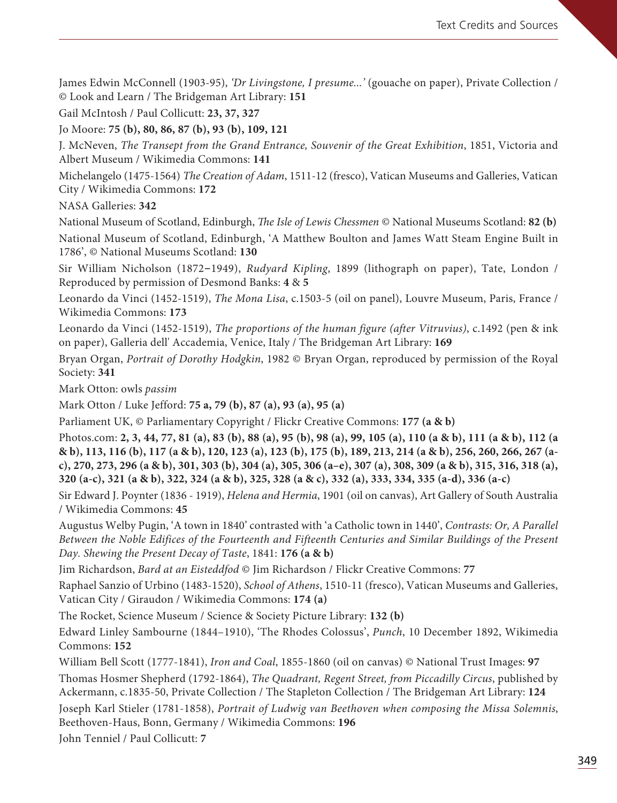James Edwin McConnell (1903-95), 'Dr Livingstone, I presume...' (gouache on paper), Private Collection / © Look and Learn / The Bridgeman Art Library: **151**

Gail McIntosh / Paul Collicutt: **23, 37, 327**

Jo Moore: **75 (b), 80, 86, 87 (b), 93 (b), 109, 121** 

J. McNeven, The Transept from the Grand Entrance, Souvenir of the Great Exhibition, 1851, Victoria and Albert Museum / Wikimedia Commons: **141**

Michelangelo (1475-1564) The Creation of Adam, 1511-12 (fresco), Vatican Museums and Galleries, Vatican City / Wikimedia Commons: **172**

NASA Galleries: **342**

National Museum of Scotland, Edinburgh, *The Isle of Lewis Chessmen* © National Museums Scotland: **82 (b)** National Museum of Scotland, Edinburgh, 'A Matthew Boulton and James Watt Steam Engine Built in 1786', © National Museums Scotland: **130**

Sir William Nicholson (1872-1949), Rudyard Kipling, 1899 (lithograph on paper), Tate, London / Reproduced by permission of Desmond Banks: **4** & **5**

Leonardo da Vinci (1452-1519), The Mona Lisa, c.1503-5 (oil on panel), Louvre Museum, Paris, France / Wikimedia Commons: **173**

Leonardo da Vinci (1452-1519), The proportions of the human figure (after Vitruvius), c.1492 (pen & ink on paper), Galleria dell' Accademia, Venice, Italy / The Bridgeman Art Library: **169**

Bryan Organ, Portrait of Dorothy Hodgkin, 1982 © Bryan Organ, reproduced by permission of the Royal Society: **341**

Mark Otton: owls passim

Mark Otton / Luke Jefford: **75 a, 79 (b), 87 (a), 93 (a), 95 (a)**

Parliament UK, © Parliamentary Copyright / Flickr Creative Commons: **177 (a & b)**

Photos.com: **2, 3, 44, 77, 81 (a), 83 (b), 88 (a), 95 (b), 98 (a), 99, 105 (a), 110 (a & b), 111 (a & b), 112 (a & b), 113, 116 (b), 117 (a & b), 120, 123 (a), 123 (b), 175 (b), 189, 213, 214 (a & b), 256, 260, 266, 267 (ac), 270, 273, 296 (a & b), 301, 303 (b), 304 (a), 305, 306 (a–e), 307 (a), 308, 309 (a & b), 315, 316, 318 (a), 320 (a-c), 321 (a & b), 322, 324 (a & b), 325, 328 (a & c), 332 (a), 333, 334, 335 (a-d), 336 (a-c)**

Sir Edward J. Poynter (1836 - 1919), Helena and Hermia, 1901 (oil on canvas), Art Gallery of South Australia / Wikimedia Commons: **45**

Augustus Welby Pugin, 'A town in 1840' contrasted with 'a Catholic town in 1440', Contrasts: Or, A Parallel Between the Noble Edifices of the Fourteenth and Fifteenth Centuries and Similar Buildings of the Present Day. Shewing the Present Decay of Taste, 1841: **176 (a & b)**

Jim Richardson, Bard at an Eisteddfod © Jim Richardson / Flickr Creative Commons: **77**

Raphael Sanzio of Urbino (1483-1520), School of Athens, 1510-11 (fresco), Vatican Museums and Galleries, Vatican City / Giraudon / Wikimedia Commons: **174 (a)**

The Rocket, Science Museum / Science & Society Picture Library: **132 (b)** 

Edward Linley Sambourne (1844–1910), 'The Rhodes Colossus', Punch, 10 December 1892, Wikimedia Commons: **152**

William Bell Scott (1777-1841), Iron and Coal, 1855-1860 (oil on canvas) © National Trust Images: **97**

Thomas Hosmer Shepherd (1792-1864), The Quadrant, Regent Street, from Piccadilly Circus, published by Ackermann, c.1835-50, Private Collection / The Stapleton Collection / The Bridgeman Art Library: **124**

Joseph Karl Stieler (1781-1858), Portrait of Ludwig van Beethoven when composing the Missa Solemnis, Beethoven-Haus, Bonn, Germany / Wikimedia Commons: **196**

John Tenniel / Paul Collicutt: **7**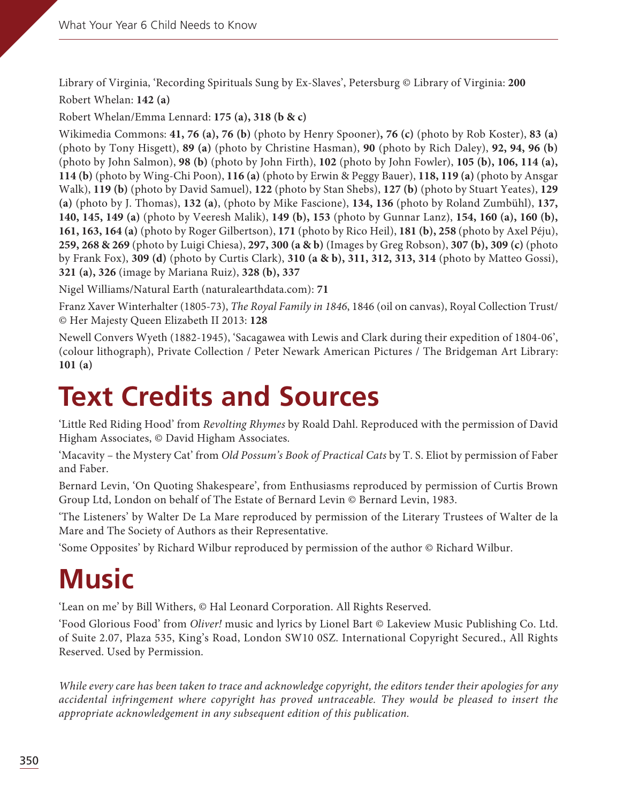Library of Virginia, 'Recording Spirituals Sung by Ex-Slaves', Petersburg © Library of Virginia: **200** Robert Whelan: **142 (a)** 

Robert Whelan/Emma Lennard: **175 (a), 318 (b & c)**

Wikimedia Commons: **41, 76 (a), 76 (b)** (photo by Henry Spooner)**, 76 (c)** (photo by Rob Koster), **83 (a)** (photo by Tony Hisgett), **89 (a)** (photo by Christine Hasman), **90** (photo by Rich Daley), **92, 94, 96 (b)** (photo by John Salmon), **98 (b)** (photo by John Firth), **102** (photo by John Fowler), **105 (b), 106, 114 (a), 114 (b)** (photo by Wing-Chi Poon), **116 (a)** (photo by Erwin & Peggy Bauer), **118, 119 (a)** (photo by Ansgar Walk), **119 (b)** (photo by David Samuel), **122** (photo by Stan Shebs), **127 (b)** (photo by Stuart Yeates), **129 (a)** (photo by J. Thomas), **132 (a)**, (photo by Mike Fascione), **134, 136** (photo by Roland Zumbühl), **137, 140, 145, 149 (a)** (photo by Veeresh Malik), **149 (b), 153** (photo by Gunnar Lanz), **154, 160 (a), 160 (b), 161, 163, 164 (a)** (photo by Roger Gilbertson), **171** (photo by Rico Heil), **181 (b), 258** (photo by Axel Péju), **259, 268 & 269** (photo by Luigi Chiesa), **297, 300 (a & b)** (Images by Greg Robson), **307 (b), 309 (c)** (photo by Frank Fox), **309 (d)** (photo by Curtis Clark), **310 (a & b), 311, 312, 313, 314** (photo by Matteo Gossi), **321 (a), 326** (image by Mariana Ruiz), **328 (b), 337**

Nigel Williams/Natural Earth (naturalearthdata.com): **71**

Franz Xaver Winterhalter (1805-73), The Royal Family in 1846, 1846 (oil on canvas), Royal Collection Trust/ © Her Majesty Queen Elizabeth II 2013: **128**

Newell Convers Wyeth (1882-1945), 'Sacagawea with Lewis and Clark during their expedition of 1804-06', (colour lithograph), Private Collection / Peter Newark American Pictures / The Bridgeman Art Library: **101 (a)**

## **Text Credits and Sources**

'Little Red Riding Hood' from Revolting Rhymes by Roald Dahl. Reproduced with the permission of David Higham Associates, © David Higham Associates.

'Macavity – the Mystery Cat' from Old Possum's Book of Practical Cats by T. S. Eliot by permission of Faber and Faber.

Bernard Levin, 'On Quoting Shakespeare', from Enthusiasms reproduced by permission of Curtis Brown Group Ltd, London on behalf of The Estate of Bernard Levin © Bernard Levin, 1983.

'The Listeners' by Walter De La Mare reproduced by permission of the Literary Trustees of Walter de la Mare and The Society of Authors as their Representative.

'Some Opposites' by Richard Wilbur reproduced by permission of the author © Richard Wilbur.

## **Music**

'Lean on me' by Bill Withers, © Hal Leonard Corporation. All Rights Reserved.

'Food Glorious Food' from Oliver! music and lyrics by Lionel Bart © Lakeview Music Publishing Co. Ltd. of Suite 2.07, Plaza 535, King's Road, London SW10 0SZ. International Copyright Secured., All Rights Reserved. Used by Permission.

While every care has been taken to trace and acknowledge copyright, the editors tender their apologies for any accidental infringement where copyright has proved untraceable. They would be pleased to insert the appropriate acknowledgement in any subsequent edition of this publication.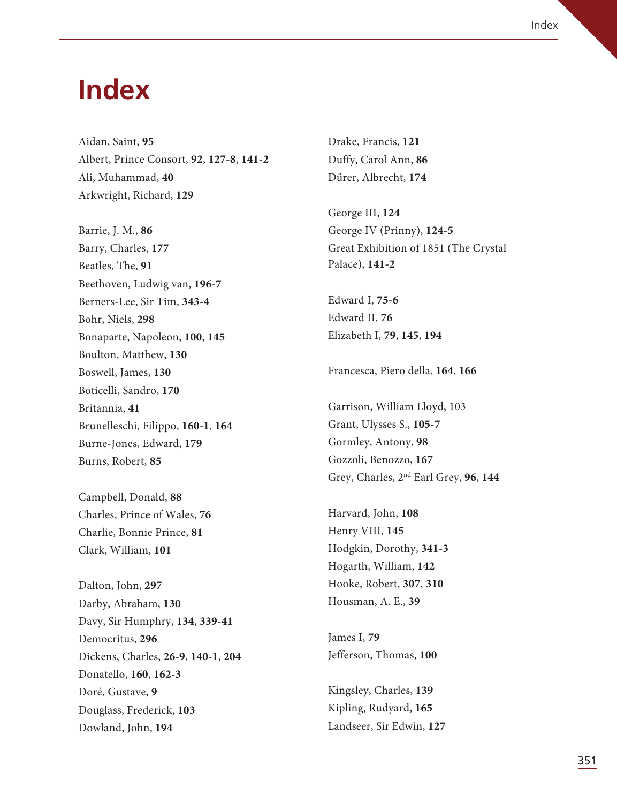## **Index**

Aidan, Saint, **95** Albert, Prince Consort, **92**, **127-8**, **141-2** Ali, Muhammad, **40** Arkwright, Richard, **129**

Barrie, J. M., **86** Barry, Charles, **177** Beatles, The, **91** Beethoven, Ludwig van, **196-7** Berners-Lee, Sir Tim, **343-4** Bohr, Niels, **298** Bonaparte, Napoleon, **100**, **145** Boulton, Matthew, **130** Boswell, James, **130** Boticelli, Sandro, **170** Britannia, **41** Brunelleschi, Filippo, **160-1**, **164** Burne-Jones, Edward, **179** Burns, Robert, **85**

Campbell, Donald, **88** Charles, Prince of Wales, **76** Charlie, Bonnie Prince, **81** Clark, William, **101**

Dalton, John, **297** Darby, Abraham, **130** Davy, Sir Humphry, **134**, **339-41** Democritus, **296** Dickens, Charles, **26-9**, **140-1**, **204** Donatello, **160**, **162-3** Doré, Gustave, **9** Douglass, Frederick, **103** Dowland, John, **194**

Drake, Francis, **121** Duffy, Carol Ann, **86** Dűrer, Albrecht, **174**

George III, **124** George IV (Prinny), **124-5** Great Exhibition of 1851 (The Crystal Palace), **141-2**

Edward I, **75-6** Edward II, **76** Elizabeth I, **79**, **145**, **194**

Francesca, Piero della, **164**, **166**

Garrison, William Lloyd, 103 Grant, Ulysses S., **105-7** Gormley, Antony, **98** Gozzoli, Benozzo, **167** Grey, Charles, 2nd Earl Grey, **96**, **144**

Harvard, John, **108** Henry VIII, **145** Hodgkin, Dorothy, **341-3** Hogarth, William, **142** Hooke, Robert, **307**, **310** Housman, A. E., **39**

James I, **79** Jefferson, Thomas, **100**

Kingsley, Charles, **139** Kipling, Rudyard, **165** Landseer, Sir Edwin, **127**